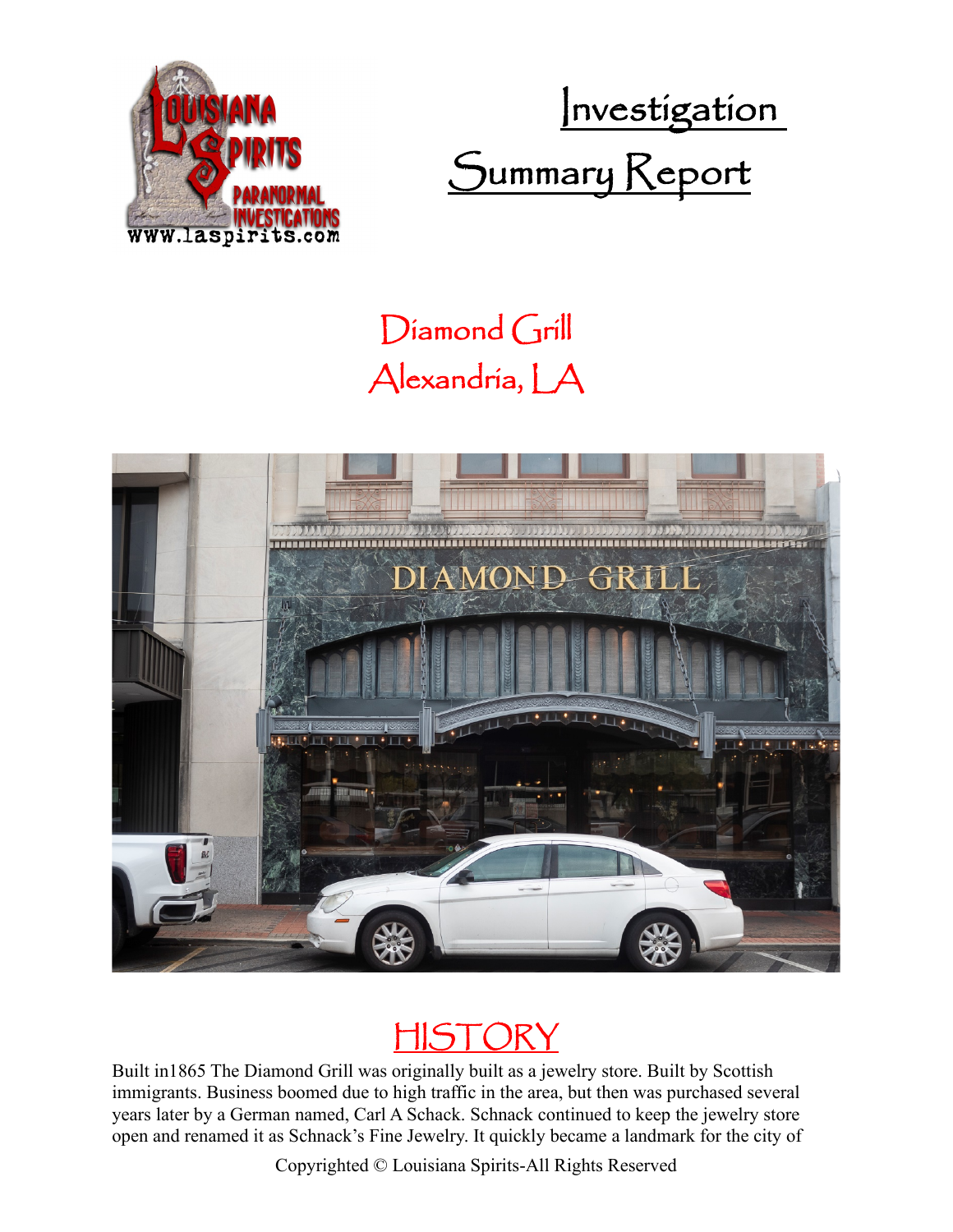

Investigation Summary Keport

## Diamond Grill Alexandria, LA





Built in1865 The Diamond Grill was originally built as a jewelry store. Built by Scottish immigrants. Business boomed due to high traffic in the area, but then was purchased several years later by a German named, Carl A Schack. Schnack continued to keep the jewelry store open and renamed it as Schnack's Fine Jewelry. It quickly became a landmark for the city of

Copyrighted © Louisiana Spirits-All Rights Reserved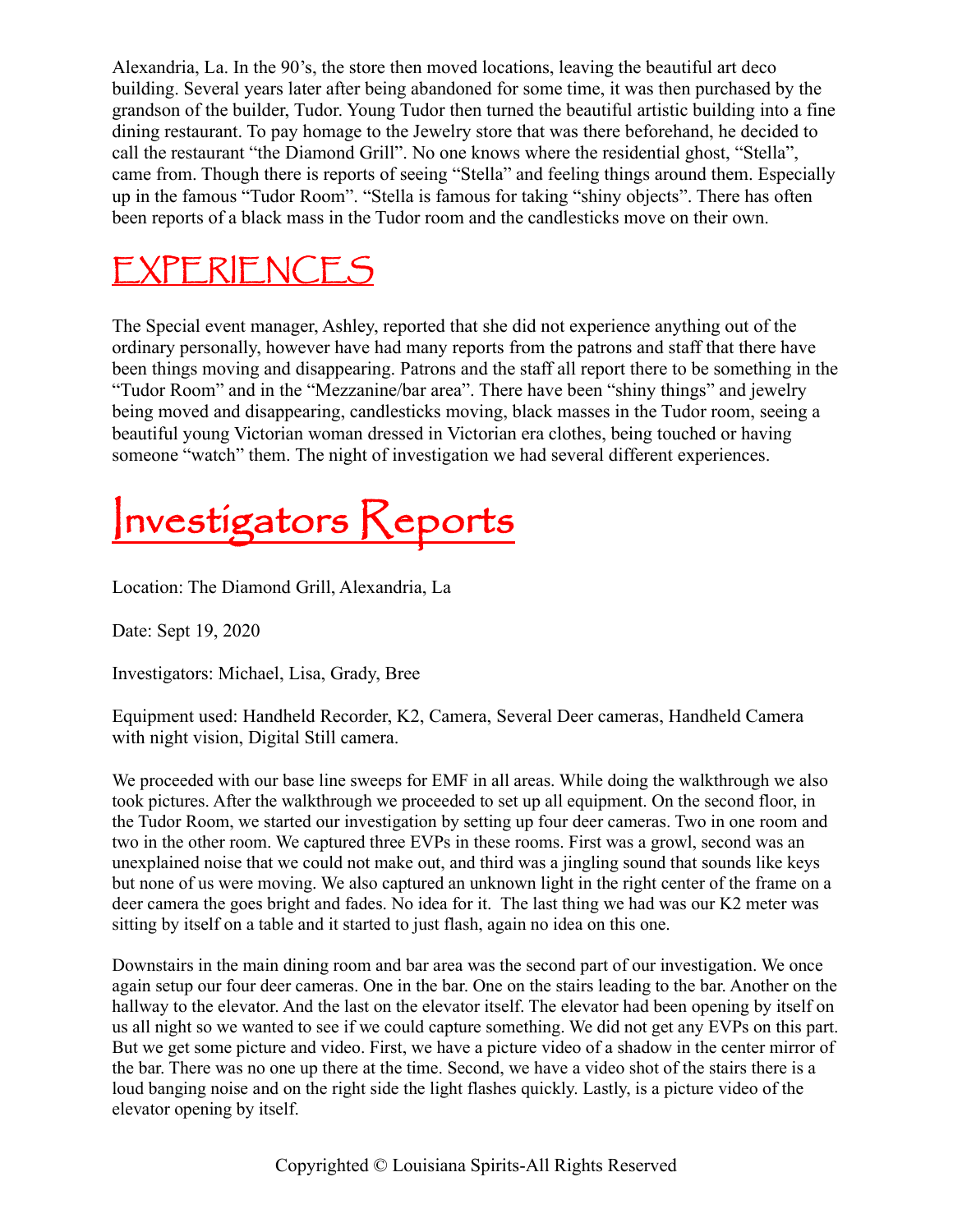Alexandria, La. In the 90's, the store then moved locations, leaving the beautiful art deco building. Several years later after being abandoned for some time, it was then purchased by the grandson of the builder, Tudor. Young Tudor then turned the beautiful artistic building into a fine dining restaurant. To pay homage to the Jewelry store that was there beforehand, he decided to call the restaurant "the Diamond Grill". No one knows where the residential ghost, "Stella", came from. Though there is reports of seeing "Stella" and feeling things around them. Especially up in the famous "Tudor Room". "Stella is famous for taking "shiny objects". There has often been reports of a black mass in the Tudor room and the candlesticks move on their own.

### EXPERIENCES

The Special event manager, Ashley, reported that she did not experience anything out of the ordinary personally, however have had many reports from the patrons and staff that there have been things moving and disappearing. Patrons and the staff all report there to be something in the "Tudor Room" and in the "Mezzanine/bar area". There have been "shiny things" and jewelry being moved and disappearing, candlesticks moving, black masses in the Tudor room, seeing a beautiful young Victorian woman dressed in Victorian era clothes, being touched or having someone "watch" them. The night of investigation we had several different experiences.

# Investigators Reports

Location: The Diamond Grill, Alexandria, La

Date: Sept 19, 2020

Investigators: Michael, Lisa, Grady, Bree

Equipment used: Handheld Recorder, K2, Camera, Several Deer cameras, Handheld Camera with night vision, Digital Still camera.

We proceeded with our base line sweeps for EMF in all areas. While doing the walkthrough we also took pictures. After the walkthrough we proceeded to set up all equipment. On the second floor, in the Tudor Room, we started our investigation by setting up four deer cameras. Two in one room and two in the other room. We captured three EVPs in these rooms. First was a growl, second was an unexplained noise that we could not make out, and third was a jingling sound that sounds like keys but none of us were moving. We also captured an unknown light in the right center of the frame on a deer camera the goes bright and fades. No idea for it. The last thing we had was our K2 meter was sitting by itself on a table and it started to just flash, again no idea on this one.

Downstairs in the main dining room and bar area was the second part of our investigation. We once again setup our four deer cameras. One in the bar. One on the stairs leading to the bar. Another on the hallway to the elevator. And the last on the elevator itself. The elevator had been opening by itself on us all night so we wanted to see if we could capture something. We did not get any EVPs on this part. But we get some picture and video. First, we have a picture video of a shadow in the center mirror of the bar. There was no one up there at the time. Second, we have a video shot of the stairs there is a loud banging noise and on the right side the light flashes quickly. Lastly, is a picture video of the elevator opening by itself.